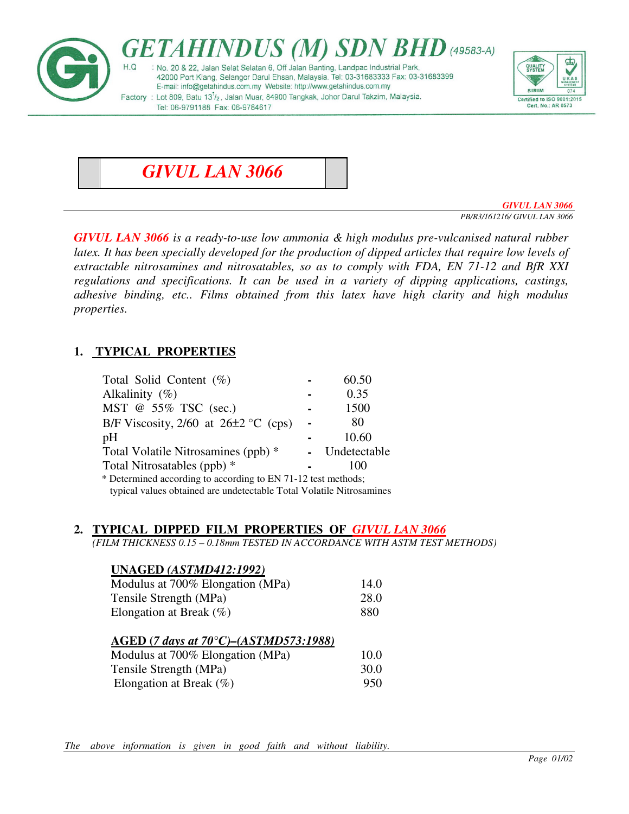



*GIVUL LAN 3066* 

*GIVUL LAN 3066 PB/R3/161216/ GIVUL LAN 3066* 

*GIVUL LAN 3066 is a ready-to-use low ammonia & high modulus pre-vulcanised natural rubber latex. It has been specially developed for the production of dipped articles that require low levels of extractable nitrosamines and nitrosatables, so as to comply with FDA, EN 71-12 and BfR XXI regulations and specifications. It can be used in a variety of dipping applications, castings, adhesive binding, etc.. Films obtained from this latex have high clarity and high modulus properties.* 

# **1. TYPICAL PROPERTIES**

| Total Solid Content $(\%)$                                    |  | 60.50        |
|---------------------------------------------------------------|--|--------------|
| Alkalinity $(\%)$                                             |  | 0.35         |
| MST @ 55% TSC (sec.)                                          |  | 1500         |
| B/F Viscosity, $2/60$ at $26\pm2$ °C (cps)                    |  | 80           |
| pH                                                            |  | 10.60        |
| Total Volatile Nitrosamines (ppb) *                           |  | Undetectable |
| Total Nitrosatables (ppb) *                                   |  | 100          |
| * Determined according to according to EN 71-12 test methods; |  |              |
|                                                               |  |              |

typical values obtained are undetectable Total Volatile Nitrosamines

#### **2. TYPICAL DIPPED FILM PROPERTIES OF** *GIVUL LAN 3066*

*(FILM THICKNESS 0.15 – 0.18mm TESTED IN ACCORDANCE WITH ASTM TEST METHODS)* 

# **UNAGED** *(ASTMD412:1992)* Modulus at 700% Elongation (MPa) 14.0 Tensile Strength (MPa) 28.0 Elongation at Break (%) 880 **AGED (***7 days at 70°C)–(ASTMD573:1988)* Modulus at 700% Elongation (MPa) 10.0 Tensile Strength (MPa) 30.0 Elongation at Break (%) 950